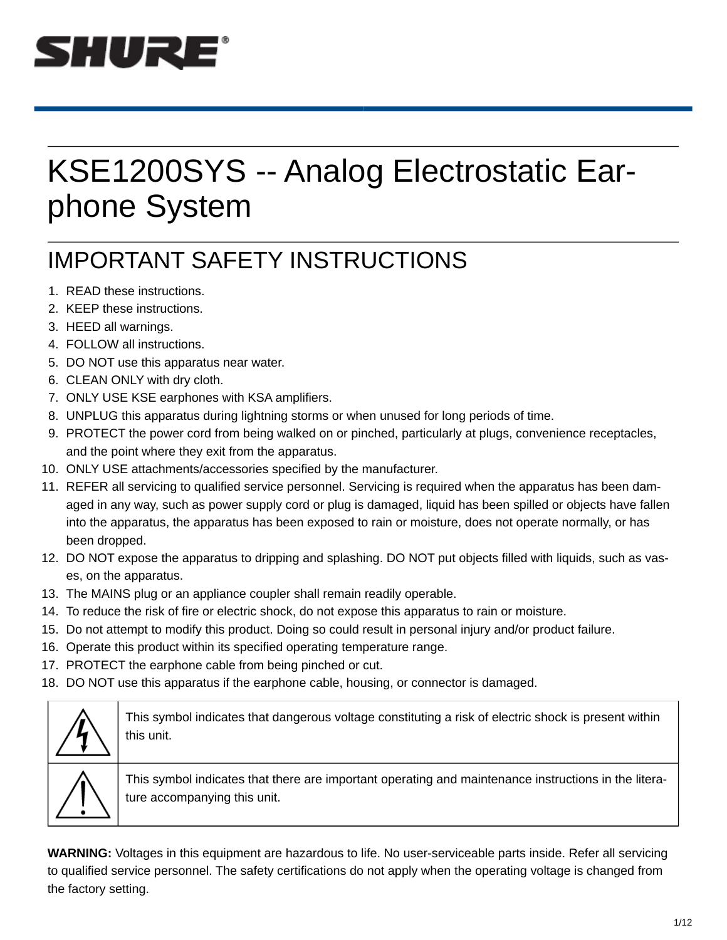

# KSE1200SYS -- Analog Electrostatic Earphone System SHURE<br>
KSE1200SYS -- Ar<br>
phone System<br>
IMPORTANT SAFETY IN:<br>
1. READ these instructions.<br>
2. KEEP these instructions.<br>
3. HEED all warnings.<br>
4. FOLLOW all instructions.<br>
5. DO NOT use this apparatus near water.<br>
6. CLEAN **EXAMPLE 12005 YS -- Archange 12. Archange 12. Accord Control Control Control Control of the Section CAST CAST (SEED these instructions.**<br>
2. KEEP these instructions.<br>
2. KEEP these instructions.<br>
3. HEED all warnings.<br>
4. SHURE<br>
SE1200SYS --<br>
phone System<br>
IMPORTANT SAFETY<br>
1. READ these instructions.<br>
2. KEEP these instructions.<br>
3. HEED all warnings.<br>
4. FOLLOW all instructions.<br>
5. DO NOT use this apparatus near water.<br>
6. CLEAN ONLY wit **KSE1200SYS -- Ar**<br> **COLLOW ALLOW AND MANUTE SAFETY IN:**<br>
THE MANUTE SAFETY IN:<br>
THE MANUTE SAFETY IN:<br>
THE MANUTE SAFETY IN:<br>
THE MANUTE SAFETY IN:<br>
S. DO NOT use this apparatus near water.<br>
S. DO NOT use this apparatus n SE1200SYS -- Analog<br>
phone System<br>
IMPORTANT SAFETY INSTRUC<br>
1. READ these instructions.<br>
2. KEEP these instructions.<br>
3. HEED all warnings.<br>
4. FOLLOW all instructions.<br>
5. DO NOT use this apparatus near water.<br>
6. CLEAN KSE1200SYS -- Ana<br>
phone System<br>
IMPORTANT SAFETY INS<br>
1. READ these instructions.<br>
2. KEEP these instructions.<br>
3. HEED all warnings.<br>
4. FOLLOW all instructions.<br>
5. DO NOT USE this apparatus near water.<br>
5. CLEAN ONLY w **KSE1200SYS -- Analog Elemption**<br> **CONCISTS -- Analog Elemption**<br>
IMPORTANT SAFETY INSTRUCTION<br>
1. READ these instructions.<br>
2. KEEP these instructions.<br>
3. HEED all warnings.<br>
4. FOLLOW all instructions.<br>
4. FOLLOW all in **KSE1200SYS -- Analog Electrostatic Ear-**<br> **Phone System**<br>
IMPORTANT SAFETY INSTRUCTIONS<br>
1. READ these instructions.<br>
2. KEEP these instructions.<br>
S. DO NOT use this apparatus near water.<br>
5. DO NOT use this apparatus nea KSE1200SYS -- Analog Electrostatic Ear-<br>phone System<br>impore System<br>in Sec. KEEP these instructions.<br>2. KEEP these instructions.<br>3. HEED all warnings.<br>4. FOLLOW all instructions.<br>5. DO NOT use this apparatus mear water.<br>6. KSE1200SYS -- Analog Electrostati<br>
phone System<br>
IMPORTANT SAFETY INSTRUCTIONS<br>
1. READ these instructions.<br>
2. KEEP these instructions.<br>
3. HEED all warnings.<br>
4. FEOLLOW all instructions.<br>
5. DO NOT use this apparatus ne

# IMPORTANT SAFETY INSTRUCTIONS

- 
- 
- 
- 
- 
- 
- 
- 
- and the point where they exit from the apparatus.
- 
- 11. REFER all servicing to qualified service personnel. Servicing is required when the apparatus has been damaged in any way, such as power supply cord or plug is damaged, liquid has been spilled or objects have fallen into the apparatus, the apparatus has been exposed to rain or moisture, does not operate normally, or has been dropped. 1. READ these instructions.<br>
2. KEEP these instructions.<br>
3. HEDD all warnings.<br>
4. FOLLOW all instructions.<br>
5. DO NOT use this apparatus near water.<br>
6. CLEAN ONLY with dry doth.<br>
8. UNPLUG this apparatus during lightnin 2. Decircle in the risk of fire or electric shock, do not expose this apparatus to reduce the risk of CLEAN ONLY with the risk of completions.<br>
4. HECD all warrings.<br>
5. DO NOT use this apparatus during lightning storms or 1. HELOW all instructions.<br>
1. HELO all warnings.<br>
5. DO NOT use this apparatus near water.<br>
6. CLEAN ONLY with dry cloth.<br>
1. ONLY USE KSE earphones with KSA amplifiers.<br>
1. ONLY USE KSE earphones with the producted on or 16. CLEAN ONLY with dry cloth.<br>
16. CLEAN A COLLOW all instructions.<br>
16. CLEAN ONLY with dry cloth.<br>
17. ONLY USE KSE earphones with KSA amplifiers.<br>
17. ONLY USE KSE earphones with KSA amplifiers.<br>
18. UNPLUG this appara 47. POLICET with the suppressions of the earphone cable from being pinched or cut.<br>17. DNLY USE KSE earphones with KSA amplifiers.<br>
17. DNLY USE KSE earphones with KSA amplifiers.<br>
18. UNPLUG this apparatus during lightnin 18. Do NOT by the earphone cable, the earphone cable, housing, or connector is damaged.<br>
18. UNEAN ONLY With thy cloth.<br>
18. UNEAN ONLY USE KSE earphones with KSA amplifiers.<br>
19. PROTECT the power cord from being walked o
- 12. DO NOT expose the apparatus to dripping and splashing. DO NOT put objects filled with liquids, such as vases, on the apparatus.
- 
- 
- 
- 
- 
- 



This symbol indicates that dangerous voltage constituting a risk of electric shock is present within this unit.



This symbol indicates that there are important operating and maintenance instructions in the literature accompanying this unit.

**WARNING:** Voltages in this equipment are hazardous to life. No user-serviceable parts inside. Refer all servicing to qualified service personnel. The safety certifications do not apply when the operating voltage is changed from the factory setting.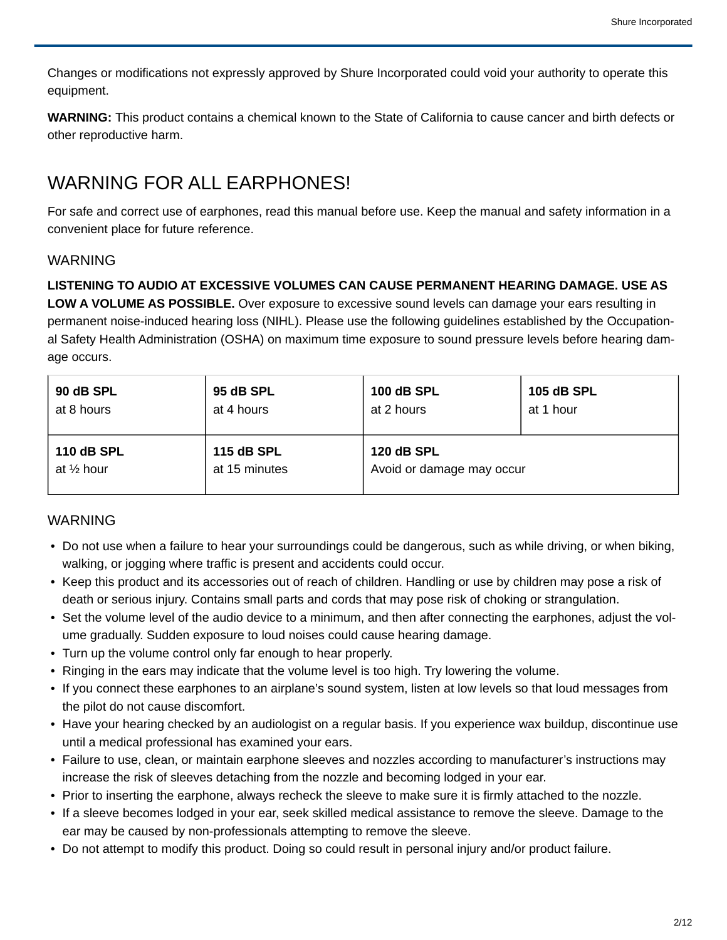Changes or modifications not expressly approved by Shure Incorporated could void your authority to operate this equipment.

**WARNING:** This product contains a chemical known to the State of California to cause cancer and birth defects or other reproductive harm.

### WARNING FOR ALL EARPHONES!

For safe and correct use of earphones, read this manual before use. Keep the manual and safety information in a convenient place for future reference.

#### WARNING

**LISTENING TO AUDIO AT EXCESSIVE VOLUMES CAN CAUSE PERMANENT HEARING DAMAGE. USE AS LOW A VOLUME AS POSSIBLE.** Over exposure to excessive sound levels can damage your ears resulting in permanent noise-induced hearing loss (NIHL). Please use the following guidelines established by the Occupational Safety Health Administration (OSHA) on maximum time exposure to sound pressure levels before hearing damage occurs.

| age occurs.                        |                                                                                                                                                                                                                                                                 |                           |                                                                                                                                                                                                                                                                                                                                                           |  |
|------------------------------------|-----------------------------------------------------------------------------------------------------------------------------------------------------------------------------------------------------------------------------------------------------------------|---------------------------|-----------------------------------------------------------------------------------------------------------------------------------------------------------------------------------------------------------------------------------------------------------------------------------------------------------------------------------------------------------|--|
| 90 dB SPL                          | 95 dB SPL                                                                                                                                                                                                                                                       | <b>100 dB SPL</b>         | <b>105 dB SPL</b>                                                                                                                                                                                                                                                                                                                                         |  |
| at 8 hours                         | at 4 hours                                                                                                                                                                                                                                                      | at 2 hours                | at 1 hour                                                                                                                                                                                                                                                                                                                                                 |  |
| <b>110 dB SPL</b>                  | <b>115 dB SPL</b>                                                                                                                                                                                                                                               | <b>120 dB SPL</b>         |                                                                                                                                                                                                                                                                                                                                                           |  |
| at 1/2 hour                        | at 15 minutes                                                                                                                                                                                                                                                   | Avoid or damage may occur |                                                                                                                                                                                                                                                                                                                                                           |  |
|                                    | walking, or jogging where traffic is present and accidents could occur.<br>death or serious injury. Contains small parts and cords that may pose risk of choking or strangulation.<br>ume gradually. Sudden exposure to loud noises could cause hearing damage. |                           | • Do not use when a failure to hear your surroundings could be dangerous, such as while driving, or when biking,<br>• Keep this product and its accessories out of reach of children. Handling or use by children may pose a risk of<br>• Set the volume level of the audio device to a minimum, and then after connecting the earphones, adjust the vol- |  |
|                                    | • Turn up the volume control only far enough to hear properly.                                                                                                                                                                                                  |                           |                                                                                                                                                                                                                                                                                                                                                           |  |
| the pilot do not cause discomfort. | • Ringing in the ears may indicate that the volume level is too high. Try lowering the volume.                                                                                                                                                                  |                           | • If you connect these earphones to an airplane's sound system, listen at low levels so that loud messages from                                                                                                                                                                                                                                           |  |
|                                    | until a medical professional has examined your ears.                                                                                                                                                                                                            |                           | • Have your hearing checked by an audiologist on a regular basis. If you experience wax buildup, discontinue use                                                                                                                                                                                                                                          |  |
|                                    | increase the risk of sleeves detaching from the nozzle and becoming lodged in your ear.                                                                                                                                                                         |                           | • Failure to use, clean, or maintain earphone sleeves and nozzles according to manufacturer's instructions may                                                                                                                                                                                                                                            |  |
|                                    | • Prior to inserting the earphone, always recheck the sleeve to make sure it is firmly attached to the nozzle.<br>ear may be caused by non-professionals attempting to remove the sleeve.                                                                       |                           | • If a sleeve becomes lodged in your ear, seek skilled medical assistance to remove the sleeve. Damage to the                                                                                                                                                                                                                                             |  |
|                                    | . Do not attempt to modify this product. Doing so could result in personal injury and/or product failure.                                                                                                                                                       |                           |                                                                                                                                                                                                                                                                                                                                                           |  |

#### **WARNING**

- Do not use when a failure to hear your surroundings could be dangerous, such as while driving, or when biking, walking, or jogging where traffic is present and accidents could occur.
- Keep this product and its accessories out of reach of children. Handling or use by children may pose a risk of death or serious injury. Contains small parts and cords that may pose risk of choking or strangulation.
- ume gradually. Sudden exposure to loud noises could cause hearing damage.
- Turn up the volume control only far enough to hear properly.
- Ringing in the ears may indicate that the volume level is too high. Try lowering the volume.
- the pilot do not cause discomfort.
- Have your hearing checked by an audiologist on a regular basis. If you experience wax buildup, discontinue use until a medical professional has examined your ears.
- increase the risk of sleeves detaching from the nozzle and becoming lodged in your ear.
- Prior to inserting the earphone, always recheck the sleeve to make sure it is firmly attached to the nozzle.
- If a sleeve becomes lodged in your ear, seek skilled medical assistance to remove the sleeve. Damage to the ear may be caused by non-professionals attempting to remove the sleeve.
- Do not attempt to modify this product. Doing so could result in personal injury and/or product failure.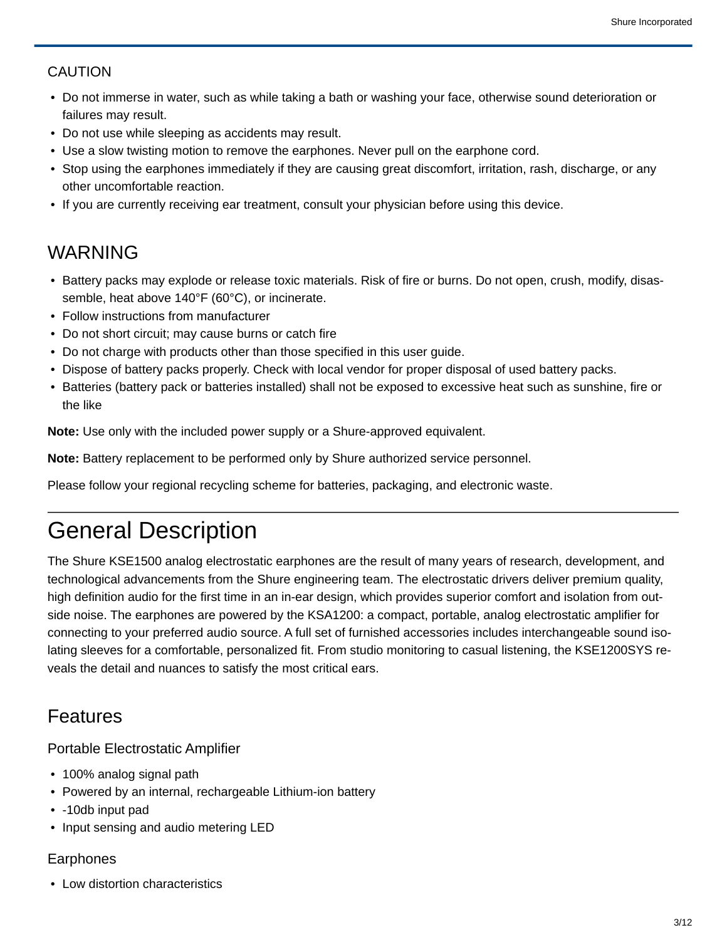#### CAUTION

- Do not immerse in water, such as while taking a bath or washing your face, otherwise sound deterioration or failures may result. • Battery packs may explode or release toxic materials. Risk of fire or burns. Do not use while seeping as accidents may result.<br>• Do not use while sleeping as accidents may result.<br>• Use a slow twisting motion to remove
- Do not use while sleeping as accidents may result.
- Use a slow twisting motion to remove the earphones. Never pull on the earphone cord.
- Stop using the earphones immediately if they are causing great discomfort, irritation, rash, discharge, or any other uncomfortable reaction.
- If you are currently receiving ear treatment, consult your physician before using this device.

#### WARNING

- semble, heat above 140°F (60°C), or incinerate.
- Follow instructions from manufacturer
- Do not short circuit; may cause burns or catch fire
- Do not charge with products other than those specified in this user guide.
- Dispose of battery packs properly. Check with local vendor for proper disposal of used battery packs.
- Batteries (battery pack or batteries installed) shall not be exposed to excessive heat such as sunshine, fire or the like

**Note:** Use only with the included power supply or a Shure-approved equivalent.

**Note:** Battery replacement to be performed only by Shure authorized service personnel.

Please follow your regional recycling scheme for batteries, packaging, and electronic waste.

# General Description

The Shure KSE1500 analog electrostatic earphones are the result of many years of research, development, and technological advancements from the Shure engineering team. The electrostatic drivers deliver premium quality, high definition audio for the first time in an in-ear design, which provides superior comfort and isolation from outside noise. The earphones are powered by the KSA1200: a compact, portable, analog electrostatic amplifier for connecting to your preferred audio source. A full set of furnished accessories includes interchangeable sound isolating sleeves for a comfortable, personalized fit. From studio monitoring to casual listening, the KSE1200SYS reveals the detail and nuances to satisfy the most critical ears.

#### Features

Portable Electrostatic Amplifier

- 100% analog signal path
- Powered by an internal, rechargeable Lithium-ion battery
- -10db input pad
- Input sensing and audio metering LED

#### Earphones

• Low distortion characteristics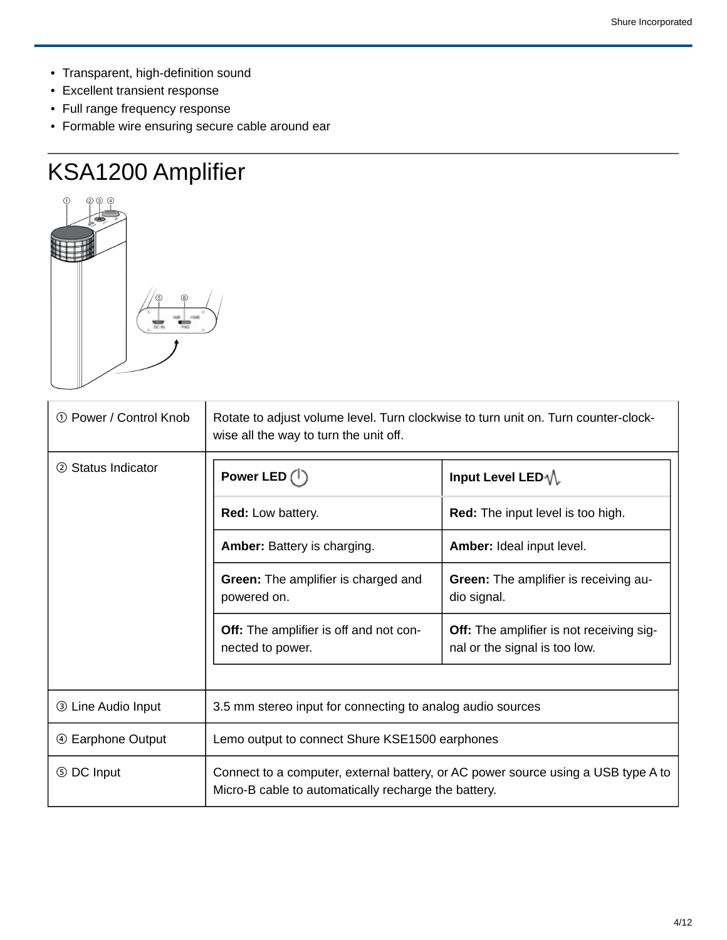- Transparent, high-definition sound
- Excellent transient response
- Full range frequency response
- Formable wire ensuring secure cable around ear

# KSA1200 Amplifier



| 1 Power / Control Knob    | Rotate to adjust volume level. Turn clockwise to turn unit on. Turn counter-clock-<br>wise all the way to turn the unit off.              |                                                                           |  |  |
|---------------------------|-------------------------------------------------------------------------------------------------------------------------------------------|---------------------------------------------------------------------------|--|--|
| 2 Status Indicator        | Power LED $($ <sup>1</sup>                                                                                                                | Input Level LED-1                                                         |  |  |
|                           | Red: Low battery.                                                                                                                         | Red: The input level is too high.                                         |  |  |
|                           | Amber: Battery is charging.                                                                                                               | Amber: Ideal input level.                                                 |  |  |
|                           | Green: The amplifier is charged and<br>powered on.                                                                                        | Green: The amplifier is receiving au-<br>dio signal.                      |  |  |
|                           | Off: The amplifier is off and not con-<br>nected to power.                                                                                | Off: The amplifier is not receiving sig-<br>nal or the signal is too low. |  |  |
| <b>3 Line Audio Input</b> | 3.5 mm stereo input for connecting to analog audio sources                                                                                |                                                                           |  |  |
| 4 Earphone Output         | Lemo output to connect Shure KSE1500 earphones                                                                                            |                                                                           |  |  |
| 5 DC Input                | Connect to a computer, external battery, or AC power source using a USB type A to<br>Micro-B cable to automatically recharge the battery. |                                                                           |  |  |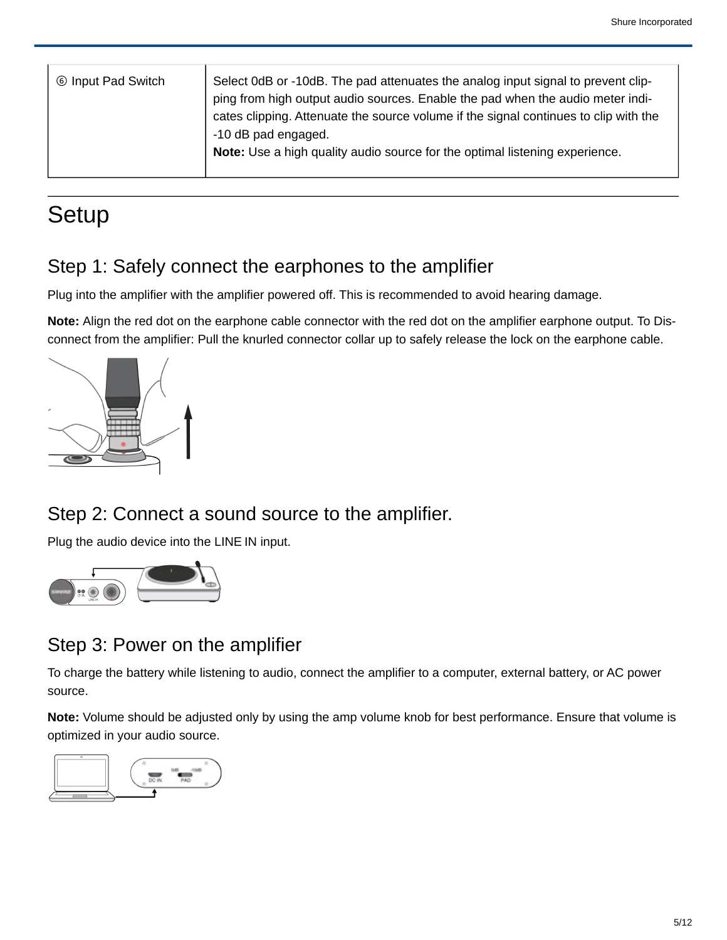| <b>6 Input Pad Switch</b> | Select OdB or -10dB. The pad attenuates the analog input signal to prevent clip-     |  |
|---------------------------|--------------------------------------------------------------------------------------|--|
|                           | ping from high output audio sources. Enable the pad when the audio meter indi-       |  |
|                           | cates clipping. Attenuate the source volume if the signal continues to clip with the |  |
|                           | -10 dB pad engaged.                                                                  |  |
|                           | Note: Use a high quality audio source for the optimal listening experience.          |  |
|                           |                                                                                      |  |

# **Setup**

#### Step 1: Safely connect the earphones to the amplifier

Plug into the amplifier with the amplifier powered off. This is recommended to avoid hearing damage.

**Note:** Align the red dot on the earphone cable connector with the red dot on the amplifier earphone output. To Disconnect from the amplifier: Pull the knurled connector collar up to safely release the lock on the earphone cable.



#### Step 2: Connect a sound source to the amplifier.

Plug the audio device into the LINE IN input.



### Step 3: Power on the amplifier

To charge the battery while listening to audio, connect the amplifier to a computer, external battery, or AC power source.

**Note:** Volume should be adjusted only by using the amp volume knob for best performance. Ensure that volume is optimized in your audio source.

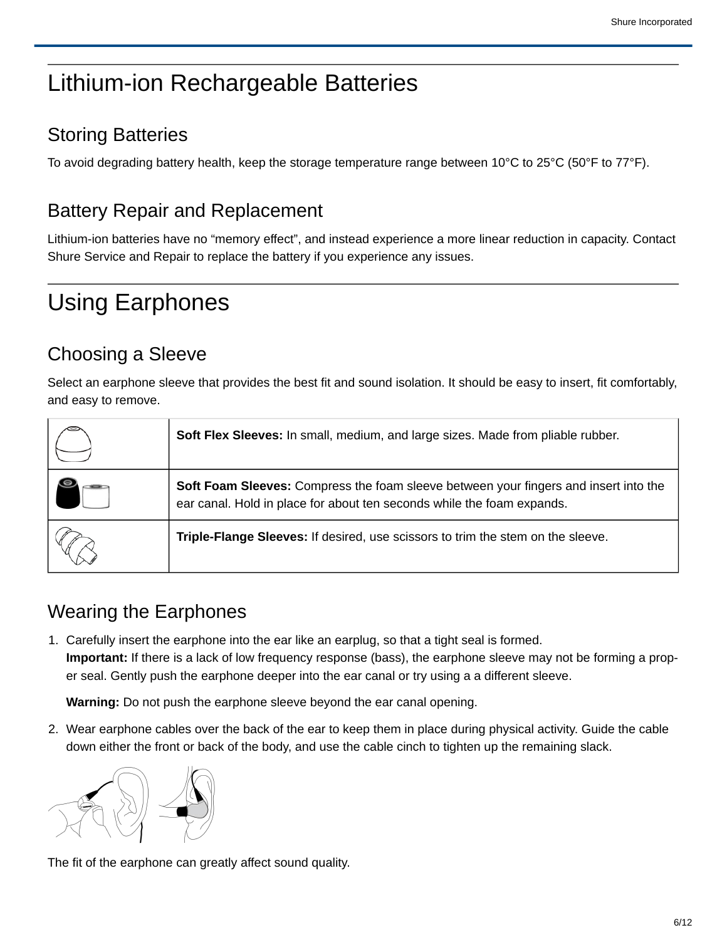# Lithium-ion Rechargeable Batteries

#### Storing Batteries

To avoid degrading battery health, keep the storage temperature range between 10°C to 25°C (50°F to 77°F).

### Battery Repair and Replacement

Lithium-ion batteries have no "memory effect", and instead experience a more linear reduction in capacity. Contact Shure Service and Repair to replace the battery if you experience any issues.

# Using Earphones

### Choosing a Sleeve

| Choosing a Sleeve            |                                                                                                                                                                                                                                                                                                                           |
|------------------------------|---------------------------------------------------------------------------------------------------------------------------------------------------------------------------------------------------------------------------------------------------------------------------------------------------------------------------|
| and easy to remove.          | Select an earphone sleeve that provides the best fit and sound isolation. It should be easy to insert, fit comfortably,                                                                                                                                                                                                   |
|                              | Soft Flex Sleeves: In small, medium, and large sizes. Made from pliable rubber.                                                                                                                                                                                                                                           |
|                              | Soft Foam Sleeves: Compress the foam sleeve between your fingers and insert into the<br>ear canal. Hold in place for about ten seconds while the foam expands.                                                                                                                                                            |
|                              | Triple-Flange Sleeves: If desired, use scissors to trim the stem on the sleeve.                                                                                                                                                                                                                                           |
| <b>Wearing the Earphones</b> |                                                                                                                                                                                                                                                                                                                           |
|                              | 1. Carefully insert the earphone into the ear like an earplug, so that a tight seal is formed.<br><b>Important:</b> If there is a lack of low frequency response (bass), the earphone sleeve may not be forming a prop-<br>er seal. Gently push the earphone deeper into the ear canal or try using a a different sleeve. |
|                              | Warning: Do not push the earphone sleeve beyond the ear canal opening.                                                                                                                                                                                                                                                    |
|                              | 2. Wear earphone cables over the back of the ear to keep them in place during physical activity. Guide the cable<br>down either the front or back of the body, and use the cable cinch to tighten up the remaining slack.                                                                                                 |
|                              |                                                                                                                                                                                                                                                                                                                           |

### Wearing the Earphones



The fit of the earphone can greatly affect sound quality.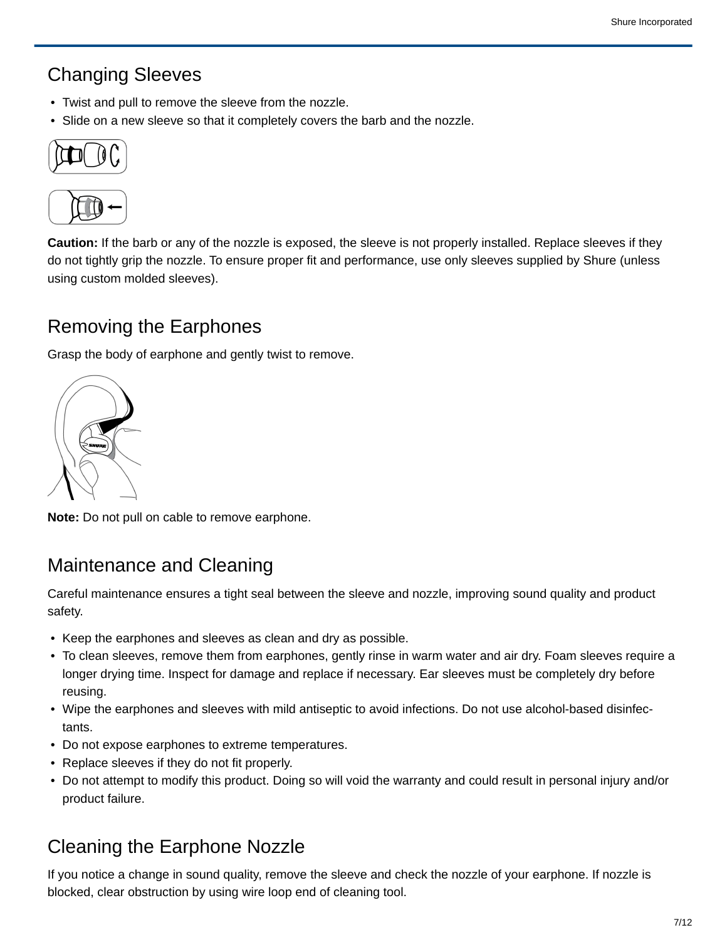#### Changing Sleeves

- Twist and pull to remove the sleeve from the nozzle.
- Slide on a new sleeve so that it completely covers the barb and the nozzle.





**Caution:** If the barb or any of the nozzle is exposed, the sleeve is not properly installed. Replace sleeves if they do not tightly grip the nozzle. To ensure proper fit and performance, use only sleeves supplied by Shure (unless using custom molded sleeves).

#### Removing the Earphones

Grasp the body of earphone and gently twist to remove.



**Note:** Do not pull on cable to remove earphone.

#### Maintenance and Cleaning

Careful maintenance ensures a tight seal between the sleeve and nozzle, improving sound quality and product safety.

- Keep the earphones and sleeves as clean and dry as possible.
- To clean sleeves, remove them from earphones, gently rinse in warm water and air dry. Foam sleeves require a longer drying time. Inspect for damage and replace if necessary. Ear sleeves must be completely dry before reusing. • Wipe the earphones and sleeves with mild antiseptic to avoid infections. Do not use alcohol-based disinfections, the equal of the earphones and sleeves as clean and dy as possible.<br>• For the earphones and sleeves as clea
- tants.
- Do not expose earphones to extreme temperatures.
- Replace sleeves if they do not fit properly.
- Do not attempt to modify this product. Doing so will void the warranty and could result in personal injury and/or product failure.

### Cleaning the Earphone Nozzle

If you notice a change in sound quality, remove the sleeve and check the nozzle of your earphone. If nozzle is blocked, clear obstruction by using wire loop end of cleaning tool.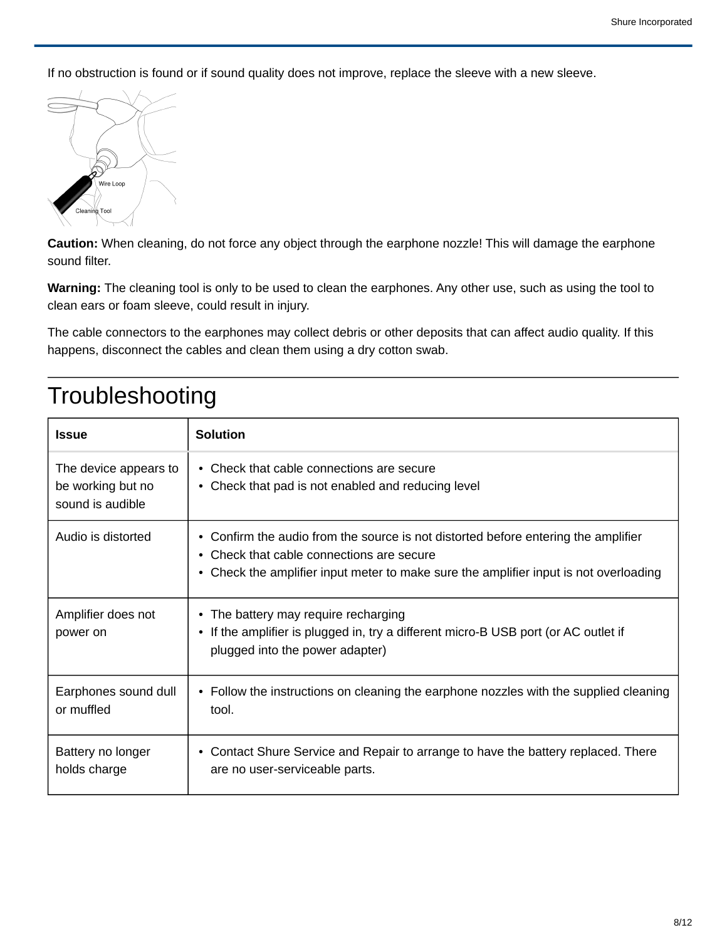If no obstruction is found or if sound quality does not improve, replace the sleeve with a new sleeve.



**Caution:** When cleaning, do not force any object through the earphone nozzle! This will damage the earphone sound filter.

**Warning:** The cleaning tool is only to be used to clean the earphones. Any other use, such as using the tool to clean ears or foam sleeve, could result in injury.

The cable connectors to the earphones may collect debris or other deposits that can affect audio quality. If this happens, disconnect the cables and clean them using a dry cotton swab.

| <b>Issue</b>                                                   | <b>Solution</b>                                                                                                                                                                                                          |
|----------------------------------------------------------------|--------------------------------------------------------------------------------------------------------------------------------------------------------------------------------------------------------------------------|
| The device appears to<br>be working but no<br>sound is audible | • Check that cable connections are secure<br>• Check that pad is not enabled and reducing level                                                                                                                          |
| Audio is distorted                                             | • Confirm the audio from the source is not distorted before entering the amplifier<br>• Check that cable connections are secure<br>• Check the amplifier input meter to make sure the amplifier input is not overloading |
| Amplifier does not<br>power on                                 | • The battery may require recharging<br>• If the amplifier is plugged in, try a different micro-B USB port (or AC outlet if<br>plugged into the power adapter)                                                           |
| Earphones sound dull<br>or muffled                             | • Follow the instructions on cleaning the earphone nozzles with the supplied cleaning<br>tool.                                                                                                                           |
| Battery no longer<br>holds charge                              | • Contact Shure Service and Repair to arrange to have the battery replaced. There<br>are no user-serviceable parts.                                                                                                      |

# Troubleshooting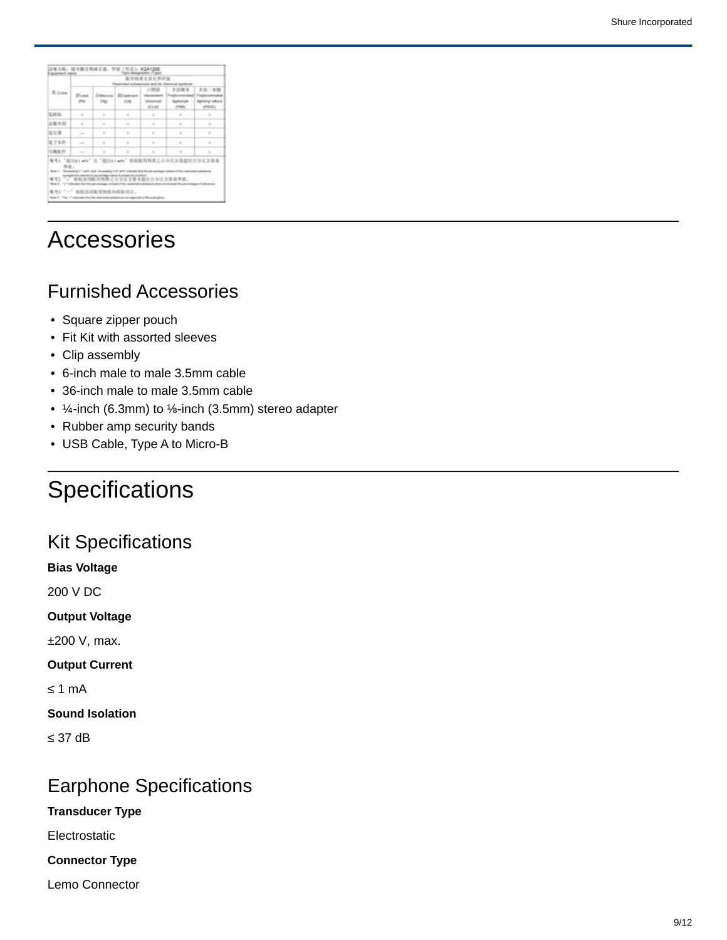|         |                                                                             |                        | 设备名标: 随身储音来演音谱: 型钢(型式): KSA1200                                                                | yot-deegnation (Type                     |                                                   |                                                  |  |  |  |
|---------|-----------------------------------------------------------------------------|------------------------|------------------------------------------------------------------------------------------------|------------------------------------------|---------------------------------------------------|--------------------------------------------------|--|--|--|
|         |                                                                             |                        |                                                                                                | 建浅物直生其化學控號                               |                                                   |                                                  |  |  |  |
| R. Gave |                                                                             |                        |                                                                                                | as and its<br>六世路                        | 多凶欺某                                              | 多溴二苯醚                                            |  |  |  |
|         | Elizat<br>(72)                                                              | <b>EMersing</b><br>142 | <b>ECartrust</b><br><b>IOB</b>                                                                 | Hondariakord<br><b>CRASHING</b><br>80.41 | <b>UNDERSTART</b><br><b>Sigihanyle</b><br>(Print) | Polyforomotation<br>dipherryl influent<br>(PBCK) |  |  |  |
| 電路板     | $\sim$                                                                      | $\sim$                 | $\sim$                                                                                         | $\rightarrow$                            | $\sim$                                            | $\sim$                                           |  |  |  |
| 企業外報    | $\frac{1}{2}$                                                               | $\alpha$               | $\alpha$                                                                                       | $\alpha$                                 | $\alpha$                                          | $\sim$                                           |  |  |  |
| 電位器     | $\overline{\phantom{a}}$                                                    | ÷.                     | $\alpha$                                                                                       | $\sim$                                   | $\alpha$                                          | $\alpha$                                         |  |  |  |
| 電子等件    | $\sim$                                                                      | $\sim$                 | $\sim$                                                                                         | $\sim$                                   | $\sim$                                            | $\sim$                                           |  |  |  |
| 三橋允作    |                                                                             |                        | $\sim$                                                                                         | $\sim$                                   | $\overline{a}$<br>修改渠用物资之百分比含泵超出百分比含量量            | $\lambda$                                        |  |  |  |
|         |                                                                             | 继指这项第2节背花為挂除用日,        | ○ 保险活动输入物资之百分比含量未超进百分比含量基準值.<br>systemia that the realmental automobile companies to the avert |                                          |                                                   |                                                  |  |  |  |
|         |                                                                             |                        | • Square zipper pouch<br>• Clip assembly                                                       |                                          | Fit Kit with assorted sleeves                     | <b>Furnished Accessories</b>                     |  |  |  |
|         |                                                                             |                        |                                                                                                |                                          |                                                   |                                                  |  |  |  |
|         | • 6-inch male to male 3.5mm cable<br>• 36-inch male to male 3.5mm cable     |                        |                                                                                                |                                          |                                                   |                                                  |  |  |  |
|         |                                                                             |                        |                                                                                                |                                          |                                                   |                                                  |  |  |  |
|         |                                                                             |                        |                                                                                                |                                          |                                                   |                                                  |  |  |  |
|         | • $\frac{1}{4}$ -inch (6.3mm) to $\frac{1}{2}$ -inch (3.5mm) stereo adapter |                        |                                                                                                |                                          |                                                   |                                                  |  |  |  |
|         | • Rubber amp security bands                                                 |                        |                                                                                                |                                          |                                                   |                                                  |  |  |  |
|         | • USB Cable, Type A to Micro-B                                              |                        |                                                                                                |                                          |                                                   |                                                  |  |  |  |
|         |                                                                             |                        |                                                                                                |                                          |                                                   |                                                  |  |  |  |
|         |                                                                             |                        |                                                                                                |                                          | <b>Specifications</b>                             |                                                  |  |  |  |

# Accessories

### Furnished Accessories

- Square zipper pouch
- Fit Kit with assorted sleeves
- Clip assembly
- 6-inch male to male 3.5mm cable
- 36-inch male to male 3.5mm cable
- 
- 
- USB Cable, Type A to Micro-B

# **Specifications**

#### Kit Specifications

**Bias Voltage**

200 V DC

**Output Voltage**

±200 V, max.

**Output Current**

≤ 1 mA

**Sound Isolation**

≤ 37 dB

### Earphone Specifications

**Transducer Type**

Electrostatic

**Connector Type**

Lemo Connector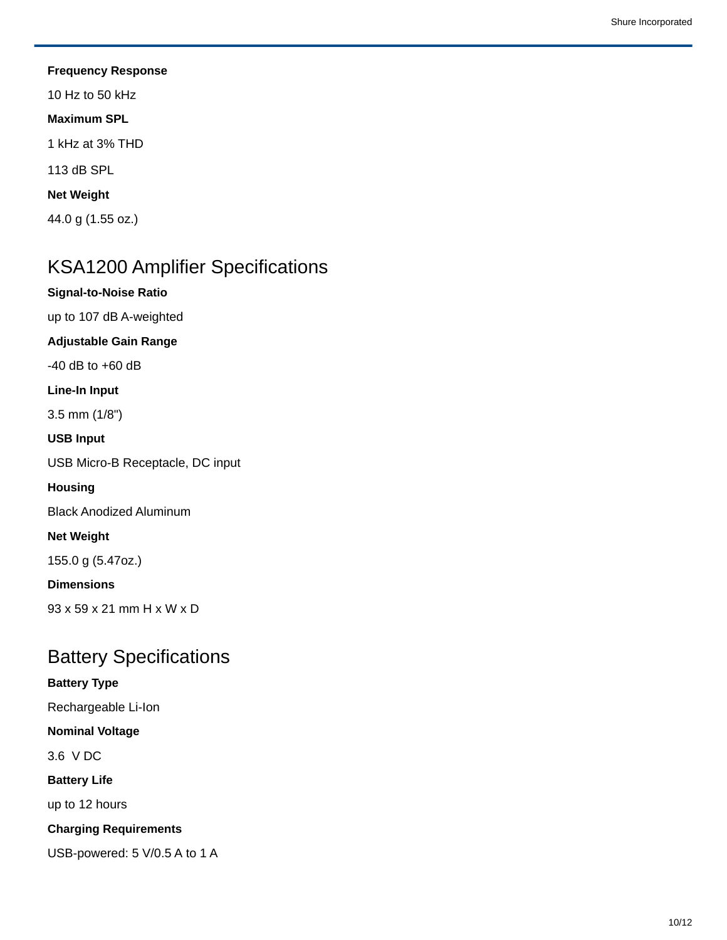**Frequency Response** 10 Hz to 50 kHz **Maximum SPL** 1 kHz at 3% THD 113 dB SPL **Net Weight** 44.0 g (1.55 oz.)

### KSA1200 Amplifier Specifications

**Signal-to-Noise Ratio**

up to 107 dB A-weighted

**Adjustable Gain Range**

-40 dB to +60 dB

**Line-In Input**

3.5 mm (1/8")

**USB Input**

USB Micro-B Receptacle, DC input

**Housing**

Black Anodized Aluminum

**Net Weight**

155.0 g (5.47oz.)

**Dimensions**

93 x 59 x 21 mm H x W x D

#### Battery Specifications

#### **Battery Type**

Rechargeable Li-Ion

**Nominal Voltage**

3.6 V DC

**Battery Life**

up to 12 hours

**Charging Requirements**

USB-powered: 5 V/0.5 A to 1 A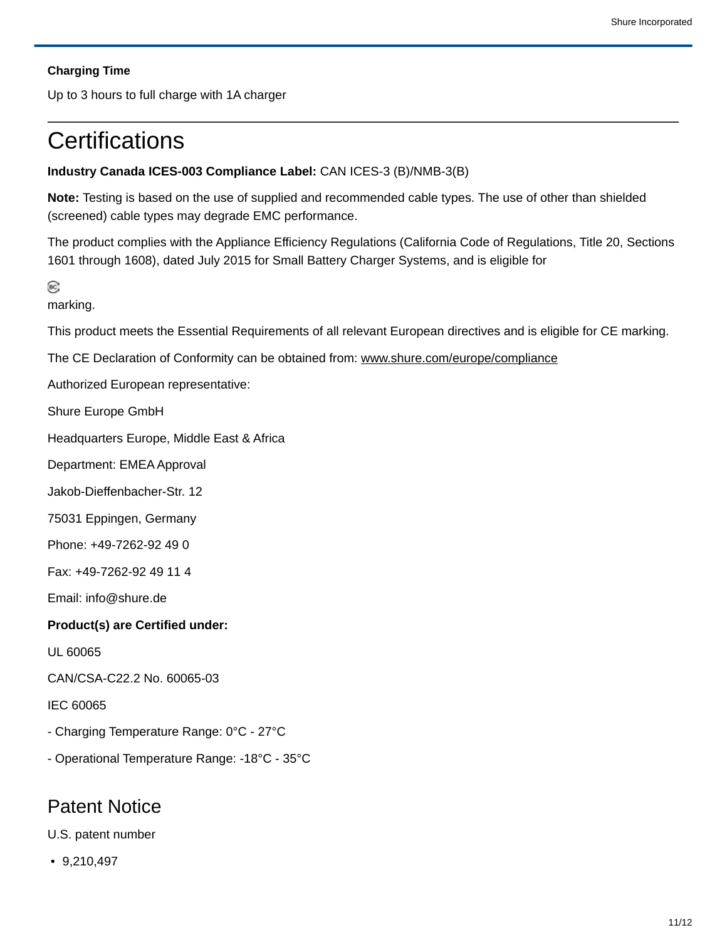#### **Charging Time**

Up to 3 hours to full charge with 1A charger

### **Certifications**

#### **Industry Canada ICES-003 Compliance Label:** CAN ICES-3 (B)/NMB-3(B)

**Note:** Testing is based on the use of supplied and recommended cable types. The use of other than shielded (screened) cable types may degrade EMC performance.

The product complies with the Appliance Efficiency Regulations (California Code of Regulations, Title 20, Sections 1601 through 1608), dated July 2015 for Small Battery Charger Systems, and is eligible for

 $\circ$ 

marking.

This product meets the Essential Requirements of all relevant European directives and is eligible for CE marking.

The CE Declaration of Conformity can be obtained from: www.shure.com/europe/compliance

Authorized European representative:

Shure Europe GmbH

Headquarters Europe, Middle East & Africa

Department: EMEA Approval

Jakob-Dieffenbacher-Str. 12

75031 Eppingen, Germany

Phone: +49-7262-92 49 0

Fax: +49-7262-92 49 11 4

Email: info@shure.de

#### **Product(s) are Certified under:**

UL 60065

CAN/CSA-C22.2 No. 60065-03

IEC 60065

- Charging Temperature Range: 0°C - 27°C

- Operational Temperature Range: -18°C - 35°C

#### Patent Notice

U.S. patent number

• 9,210,497